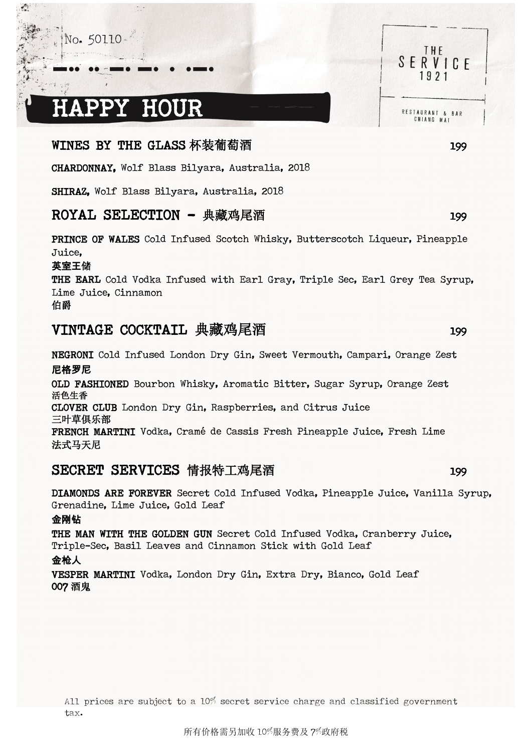## No. 50110

 $\sqrt{2}$ 

# HAPPY HOUR

 $\sim$  .

## WINES BY THE GLASS 杯装葡萄酒 199

CHARDONNAY, Wolf Blass Bilyara, Australia, 2018

SHIRAZ, Wolf Blass Bilyara, Australia, 2018

## ROYAL SELECTION - 典藏鸡尾酒 199

PRINCE OF WALES Cold Infused Scotch Whisky, Butterscotch Liqueur, Pineapple Juice,

#### 英室王储

THE EARL Cold Vodka Infused with Earl Gray, Triple Sec, Earl Grey Tea Syrup, Lime Juice, Cinnamon

### 伯爵

# VINTAGE COCKTAIL 典藏鸡尾酒 199

NEGRONI Cold Infused London Dry Gin, Sweet Vermouth, Campari, Orange Zest 尼格罗尼 OLD FASHIONED Bourbon Whisky, Aromatic Bitter, Sugar Syrup, Orange Zest

活色生香 CLOVER CLUB London Dry Gin, Raspberries, and Citrus Juice 三叶草俱乐部

FRENCH MARTINI Vodka, Cramé de Cassis Fresh Pineapple Juice, Fresh Lime 法式马天尼

## SECRET SERVICES 情报特工鸡尾酒 199

DIAMONDS ARE FOREVER Secret Cold Infused Vodka, Pineapple Juice, Vanilla Syrup, Grenadine, Lime Juice, Gold Leaf

#### 金刚钻

THE MAN WITH THE GOLDEN GUN Secret Cold Infused Vodka, Cranberry Juice, Triple-Sec, Basil Leaves and Cinnamon Stick with Gold Leaf 金枪人

VESPER MARTINI Vodka, London Dry Gin, Extra Dry, Bianco, Gold Leaf 007 酒鬼

All prices are subject to a 10% secret service charge and classified government tax.

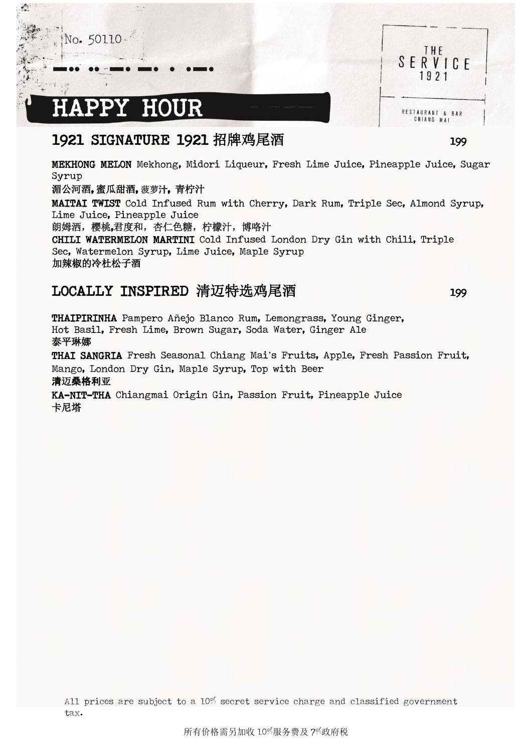ľ ٠

 $\sqrt{2}$ 

ł.

# PPY HOUR

 $\sim$  .

# 1921 SIGNATURE 1921 招牌鸡尾酒 1921 199

MEKHONG MELON Mekhong, Midori Liqueur, Fresh Lime Juice, Pineapple Juice, Sugar Syrup

#### 湄公河酒, 蜜瓜甜酒, 菠萝**汁**, 青柠汁

MAITAI TWIST Cold Infused Rum with Cherry, Dark Rum, Triple Sec, Almond Syrup, Lime Juice, Pineapple Juice

朗姆洒,樱桃,君度和,杏仁色糖,柠檬汁,博咯汁

CHILI WATERMELON MARTINI Cold Infused London Dry Gin with Chili, Triple Sec, Watermelon Syrup, Lime Juice, Maple Syrup 加辣椒的冷杜松子酒

# LOCALLY INSPIRED 清迈特选鸡尾酒 199

THAIPIRINHA Pampero Añejo Blanco Rum, Lemongrass, Young Ginger, Hot Basil, Fresh Lime, Brown Sugar, Soda Water, Ginger Ale 泰平琳娜 THAI SANGRIA Fresh Seasonal Chiang Mai's Fruits, Apple, Fresh Passion Fruit, Mango, London Dry Gin, Maple Syrup, Top with Beer 清迈桑格利亚 KA-NIT-THA Chiangmai Origin Gin, Passion Fruit, Pineapple Juice

卡尼塔

All prices are subject to a 10% secret service charge and classified government tax.